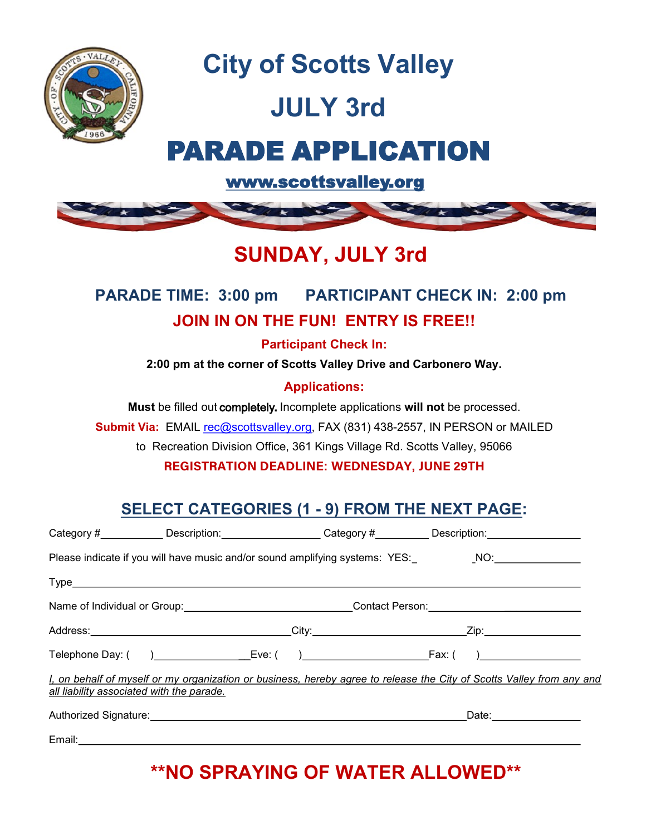

**City of Scotts Valley**

# **JULY 3rd**

## PARADE APPLICATION

[www.scottsvalley.org](http://www.scottsvalley.org) 



### **SUNDAY, JULY 3rd**

#### **PARADE TIME: 3:00 pm PARTICIPANT CHECK IN: 2:00 pm JOIN IN ON THE FUN! ENTRY IS FREE!!**

**Participant Check In:**

**2:00 pm at the corner of Scotts Valley Drive and Carbonero Way.**

#### **Applications:**

**Must** be filled out completely**.** Incomplete applications **will not** be processed.

**Submit Via:** EMAIL rec@scottsvalley.org, FAX (831) 438-2557, IN PERSON or MAILED

to Recreation Division Office, 361 Kings Village Rd. Scotts Valley, 95066

**REGISTRATION DEADLINE: WEDNESDAY, JUNE 29TH**

#### **SELECT CATEGORIES (1 - 9) FROM THE NEXT PAGE:**

|                                           | Category # <b>Marketin Category # The Category # Category # Category # Category # Category # Category # CATEGORY # CATEGORY # CATEGORY # CATEGORY # CATEGORY # CATEGORY # CATEGORY # CATEGORY # CATEGORY # CATEGORY # CATEGORY #</b> |  |  |
|-------------------------------------------|--------------------------------------------------------------------------------------------------------------------------------------------------------------------------------------------------------------------------------------|--|--|
|                                           | Please indicate if you will have music and/or sound amplifying systems: YES:________________________                                                                                                                                 |  |  |
|                                           |                                                                                                                                                                                                                                      |  |  |
|                                           | Name of Individual or Group:_________________________________Contact Person:________________________                                                                                                                                 |  |  |
|                                           |                                                                                                                                                                                                                                      |  |  |
|                                           |                                                                                                                                                                                                                                      |  |  |
| all liability associated with the parade. | I, on behalf of myself or my organization or business, hereby agree to release the City of Scotts Valley from any and                                                                                                                |  |  |
|                                           |                                                                                                                                                                                                                                      |  |  |
|                                           | Email: <u>Communication</u>                                                                                                                                                                                                          |  |  |

#### **\*\*NO SPRAYING OF WATER ALLOWED\*\***